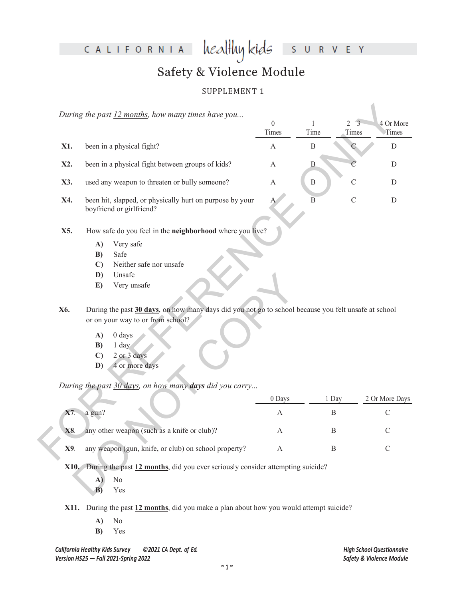CALIFORNIA

healthy kids R V E Y  $\overline{\mathsf{S}}$  $\cup$ 

# Safety & Violence Module

## SUPPLEMENT 1

|            | During the past 12 months, how many times have you                                                                                                                                                                                                                                                                                                                                                             | $\theta$<br>Times | $\,1\,$<br>Time | $2 - 3$<br>Times | 4 Or More<br>Times |
|------------|----------------------------------------------------------------------------------------------------------------------------------------------------------------------------------------------------------------------------------------------------------------------------------------------------------------------------------------------------------------------------------------------------------------|-------------------|-----------------|------------------|--------------------|
| X1.        | been in a physical fight?                                                                                                                                                                                                                                                                                                                                                                                      | $\mathbf{A}$      | $\, {\bf B}$    |                  | $\mathbf D$        |
| X2.        | been in a physical fight between groups of kids?                                                                                                                                                                                                                                                                                                                                                               | A                 | $\bf{B}$        |                  | D                  |
| X3.        | used any weapon to threaten or bully someone?                                                                                                                                                                                                                                                                                                                                                                  | $\mathbf{A}$      | $\, {\bf B}$    | $\mathcal{C}$    | D                  |
| X4.        | been hit, slapped, or physically hurt on purpose by your<br>boyfriend or girlfriend?                                                                                                                                                                                                                                                                                                                           | А                 | $\overline{B}$  | $\mathcal{C}$    | D                  |
| X5.<br>X6. | How safe do you feel in the neighborhood where you live?<br>Very safe<br>A)<br>Safe<br>B)<br>Neither safe nor unsafe<br>$\mathbf{C}$<br>Unsafe<br>D)<br>Very unsafe<br>E)<br>During the past 30 days, on how many days did you not go to school because you felt unsafe at school<br>or on your way to or from school?<br>A)<br>0 days<br>$1$ day<br>B)<br>2 or 3 days<br>$\mathbf{C}$<br>4 or more days<br>D) |                   |                 |                  |                    |
|            | During the past 30 days, on how many days did you carry                                                                                                                                                                                                                                                                                                                                                        | 0 Days            | 1 Day           |                  | 2 Or More Days     |
| X7.        | a gun?                                                                                                                                                                                                                                                                                                                                                                                                         | А                 | $\mathbf B$     |                  | $\mathcal{C}$      |
| X8.        | any other weapon (such as a knife or club)?                                                                                                                                                                                                                                                                                                                                                                    | А                 | $\mathbf{B}$    |                  | $\mathcal{C}$      |
| X9.        | any weapon (gun, knife, or club) on school property?                                                                                                                                                                                                                                                                                                                                                           | А                 | B               |                  | $\mathcal{C}$      |

- **X5.** How safe do you feel in the **neighborhood** where you live?
	- **A)** Very safe
	- **B)** Safe
	- **C)** Neither safe nor unsafe
	- **D)** Unsafe
	- **E)** Very unsafe
- **X6.** During the past **30 days**, on how many days did you not go to school because you felt unsafe at school or on your way to or from school?
	- **A)** 0 days
	- **B)** 1 day
	- **C)** 2 or 3 days
	- **D)** 4 or more days

|     | D)           | Unsafe                                                                                               |              |       |                |  |  |  |  |
|-----|--------------|------------------------------------------------------------------------------------------------------|--------------|-------|----------------|--|--|--|--|
|     | E)           | Very unsafe                                                                                          |              |       |                |  |  |  |  |
|     |              |                                                                                                      |              |       |                |  |  |  |  |
|     |              |                                                                                                      |              |       |                |  |  |  |  |
| ζ6. |              | During the past 30 days, on how many days did you not go to school because you felt unsafe at school |              |       |                |  |  |  |  |
|     |              | or on your way to or from school?                                                                    |              |       |                |  |  |  |  |
|     | A)           | 0 days                                                                                               |              |       |                |  |  |  |  |
|     | B)           | $1$ day                                                                                              |              |       |                |  |  |  |  |
|     | $\mathbf{C}$ | 2 or 3 days                                                                                          |              |       |                |  |  |  |  |
|     | D)           |                                                                                                      |              |       |                |  |  |  |  |
|     |              | 4 or more days                                                                                       |              |       |                |  |  |  |  |
|     |              |                                                                                                      |              |       |                |  |  |  |  |
|     |              | During the past 30 days, on how many days did you carry                                              |              |       |                |  |  |  |  |
|     |              |                                                                                                      | 0 Days       | 1 Day | 2 Or More Days |  |  |  |  |
| X7. | a gun?       |                                                                                                      | A            | B     | $\mathcal{C}$  |  |  |  |  |
|     |              |                                                                                                      |              |       |                |  |  |  |  |
| X8. |              | any other weapon (such as a knife or club)?                                                          | $\mathbf{A}$ | B     | $\mathcal{C}$  |  |  |  |  |
|     |              |                                                                                                      |              |       |                |  |  |  |  |
| X9. |              | any weapon (gun, knife, or club) on school property?                                                 | $\mathbf{A}$ | B     | $\mathcal{C}$  |  |  |  |  |
|     |              |                                                                                                      |              |       |                |  |  |  |  |
|     |              | X10. During the past 12 months, did you ever seriously consider attempting suicide?                  |              |       |                |  |  |  |  |
|     | A)           | No                                                                                                   |              |       |                |  |  |  |  |
|     | B)           | Yes                                                                                                  |              |       |                |  |  |  |  |
|     |              |                                                                                                      |              |       |                |  |  |  |  |

**X11.** During the past **12 months**, did you make a plan about how you would attempt suicide?

- **A)** No
- **B)** Yes